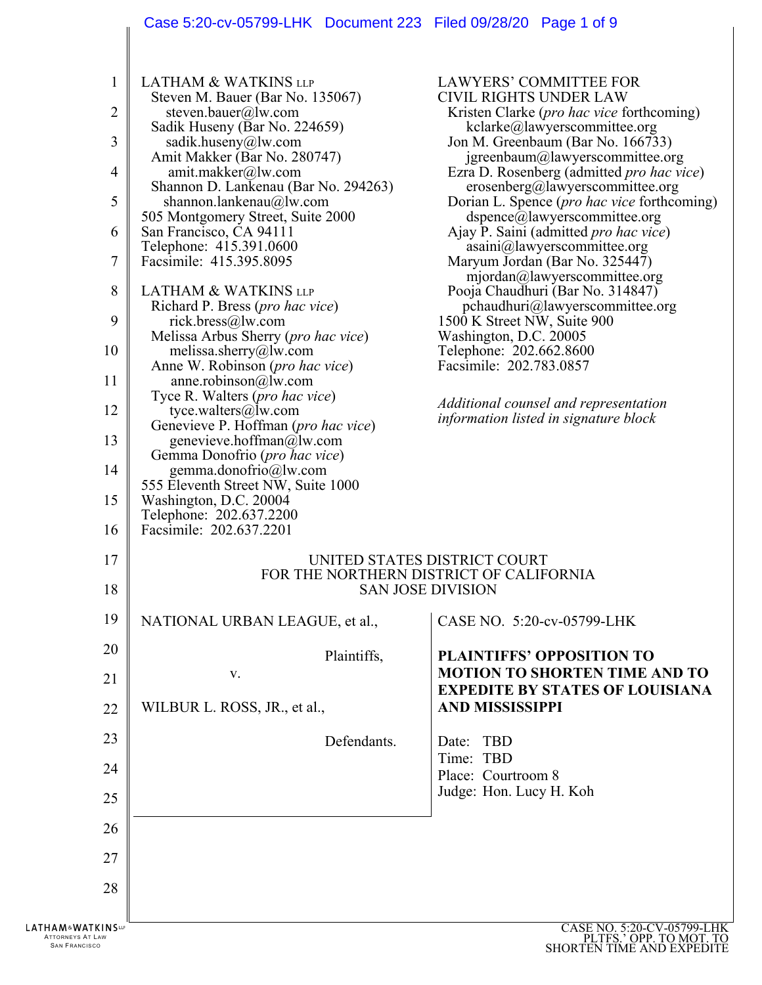# Case 5:20-cv-05799-LHK Document 223 Filed 09/28/20 Page 1 of 9

| 1<br>2<br>3<br>$\overline{4}$<br>5<br>6<br>7<br>8<br>9<br>10<br>11<br>12<br>13<br>14<br>15<br>16 | <b>LATHAM &amp; WATKINS LLP</b><br>Steven M. Bauer (Bar No. 135067)<br>steven.bauer@lw.com<br>Sadik Huseny (Bar No. 224659)<br>sadik.huseny@lw.com<br>Amit Makker (Bar No. 280747)<br>amit.makker@lw.com<br>Shannon D. Lankenau (Bar No. 294263)<br>shannon.lankenau@lw.com<br>505 Montgomery Street, Suite 2000<br>San Francisco, CA 94111<br>Telephone: 415.391.0600<br>Facsimile: 415.395.8095<br><b>LATHAM &amp; WATKINS LLP</b><br>Richard P. Bress (pro hac vice)<br>rick.bress@lw.com<br>Melissa Arbus Sherry ( <i>pro hac vice</i> )<br>melissa.sherry@lw.com<br>Anne W. Robinson ( <i>pro hac vice</i> )<br>anne.robinson@lw.com<br>Tyce R. Walters ( <i>pro hac vice</i> )<br>tyce.walters@lw.com<br>Genevieve P. Hoffman (pro hac vice)<br>genevieve.hoffman@lw.com<br>Gemma Donofrio (pro hac vice)<br>gemma.donofrio@lw.com<br>555 Eleventh Street NW, Suite 1000<br>Washington, D.C. 20004<br>Telephone: 202.637.2200<br>Facsimile: 202.637.2201 | LAWYERS' COMMITTEE FOR<br><b>CIVIL RIGHTS UNDER LAW</b><br>Kristen Clarke ( <i>pro hac vice</i> forthcoming)<br>kclarke@lawyerscommittee.org<br>Jon M. Greenbaum (Bar No. 166733)<br>jgreenbaum@lawyerscommittee.org<br>Ezra D. Rosenberg (admitted pro hac vice)<br>erosenberg@lawyerscommittee.org<br>Dorian L. Spence ( <i>pro hac vice</i> forthcoming)<br>dspence@lawyerscommittee.org<br>Ajay P. Saini (admitted <i>pro hac vice</i> )<br>asaini@lawyerscommittee.org<br>Maryum Jordan (Bar No. 325447)<br>mjordan@lawyerscommittee.org<br>Pooja Chaudhuri (Bar No. 314847)<br>pchaudhuri@lawyerscommittee.org<br>1500 K Street NW, Suite 900<br>Washington, D.C. 20005<br>Telephone: 202.662.8600<br>Facsimile: 202.783.0857<br>Additional counsel and representation<br>information listed in signature block |
|--------------------------------------------------------------------------------------------------|----------------------------------------------------------------------------------------------------------------------------------------------------------------------------------------------------------------------------------------------------------------------------------------------------------------------------------------------------------------------------------------------------------------------------------------------------------------------------------------------------------------------------------------------------------------------------------------------------------------------------------------------------------------------------------------------------------------------------------------------------------------------------------------------------------------------------------------------------------------------------------------------------------------------------------------------------------------|-----------------------------------------------------------------------------------------------------------------------------------------------------------------------------------------------------------------------------------------------------------------------------------------------------------------------------------------------------------------------------------------------------------------------------------------------------------------------------------------------------------------------------------------------------------------------------------------------------------------------------------------------------------------------------------------------------------------------------------------------------------------------------------------------------------------------|
| 17<br>18                                                                                         | UNITED STATES DISTRICT COURT<br>FOR THE NORTHERN DISTRICT OF CALIFORNIA<br><b>SAN JOSE DIVISION</b>                                                                                                                                                                                                                                                                                                                                                                                                                                                                                                                                                                                                                                                                                                                                                                                                                                                            |                                                                                                                                                                                                                                                                                                                                                                                                                                                                                                                                                                                                                                                                                                                                                                                                                       |
| 19                                                                                               | NATIONAL URBAN LEAGUE, et al.,                                                                                                                                                                                                                                                                                                                                                                                                                                                                                                                                                                                                                                                                                                                                                                                                                                                                                                                                 | CASE NO. 5:20-cv-05799-LHK                                                                                                                                                                                                                                                                                                                                                                                                                                                                                                                                                                                                                                                                                                                                                                                            |
| 20                                                                                               | Plaintiffs,                                                                                                                                                                                                                                                                                                                                                                                                                                                                                                                                                                                                                                                                                                                                                                                                                                                                                                                                                    | <b>PLAINTIFFS' OPPOSITION TO</b>                                                                                                                                                                                                                                                                                                                                                                                                                                                                                                                                                                                                                                                                                                                                                                                      |
| 21                                                                                               | v.                                                                                                                                                                                                                                                                                                                                                                                                                                                                                                                                                                                                                                                                                                                                                                                                                                                                                                                                                             | <b>MOTION TO SHORTEN TIME AND TO</b><br><b>EXPEDITE BY STATES OF LOUISIANA</b>                                                                                                                                                                                                                                                                                                                                                                                                                                                                                                                                                                                                                                                                                                                                        |
| 22                                                                                               | WILBUR L. ROSS, JR., et al.,                                                                                                                                                                                                                                                                                                                                                                                                                                                                                                                                                                                                                                                                                                                                                                                                                                                                                                                                   | <b>AND MISSISSIPPI</b>                                                                                                                                                                                                                                                                                                                                                                                                                                                                                                                                                                                                                                                                                                                                                                                                |
| 23                                                                                               | Defendants.                                                                                                                                                                                                                                                                                                                                                                                                                                                                                                                                                                                                                                                                                                                                                                                                                                                                                                                                                    | TBD<br>Date:                                                                                                                                                                                                                                                                                                                                                                                                                                                                                                                                                                                                                                                                                                                                                                                                          |
| 24                                                                                               |                                                                                                                                                                                                                                                                                                                                                                                                                                                                                                                                                                                                                                                                                                                                                                                                                                                                                                                                                                | Time: TBD<br>Place: Courtroom 8                                                                                                                                                                                                                                                                                                                                                                                                                                                                                                                                                                                                                                                                                                                                                                                       |
| 25                                                                                               |                                                                                                                                                                                                                                                                                                                                                                                                                                                                                                                                                                                                                                                                                                                                                                                                                                                                                                                                                                | Judge: Hon. Lucy H. Koh                                                                                                                                                                                                                                                                                                                                                                                                                                                                                                                                                                                                                                                                                                                                                                                               |
| 26                                                                                               |                                                                                                                                                                                                                                                                                                                                                                                                                                                                                                                                                                                                                                                                                                                                                                                                                                                                                                                                                                |                                                                                                                                                                                                                                                                                                                                                                                                                                                                                                                                                                                                                                                                                                                                                                                                                       |
| 27                                                                                               |                                                                                                                                                                                                                                                                                                                                                                                                                                                                                                                                                                                                                                                                                                                                                                                                                                                                                                                                                                |                                                                                                                                                                                                                                                                                                                                                                                                                                                                                                                                                                                                                                                                                                                                                                                                                       |
| 28                                                                                               |                                                                                                                                                                                                                                                                                                                                                                                                                                                                                                                                                                                                                                                                                                                                                                                                                                                                                                                                                                |                                                                                                                                                                                                                                                                                                                                                                                                                                                                                                                                                                                                                                                                                                                                                                                                                       |
| <b>LATHAM&amp;WATKINS</b><br>ATTORNEYS AT LAW<br><b>SAN FRANCISCO</b>                            |                                                                                                                                                                                                                                                                                                                                                                                                                                                                                                                                                                                                                                                                                                                                                                                                                                                                                                                                                                | CASE NO. 5:20-CV-05799-LHK<br>PLTFS.' OPP. TO MOT. TO<br>SHORTEN TIME AND EXPEDITE                                                                                                                                                                                                                                                                                                                                                                                                                                                                                                                                                                                                                                                                                                                                    |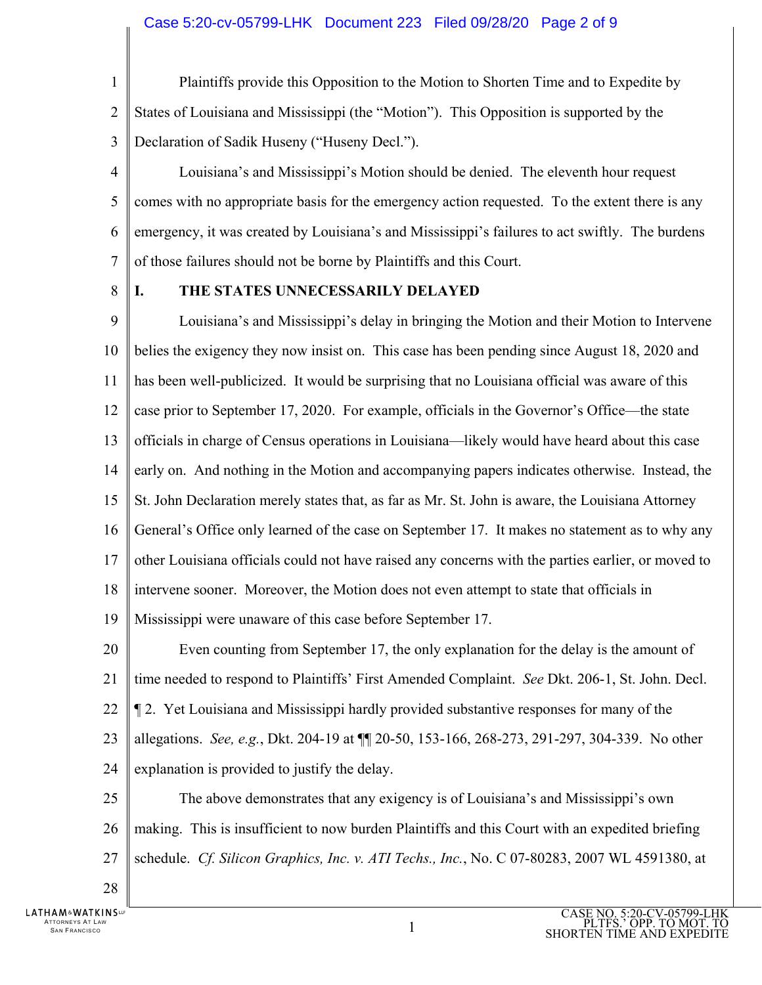1

 $\mathcal{D}_{\mathcal{L}}$ 

3

Plaintiffs provide this Opposition to the Motion to Shorten Time and to Expedite by States of Louisiana and Mississippi (the "Motion"). This Opposition is supported by the Declaration of Sadik Huseny ("Huseny Decl.").

4 5 6 7 Louisiana's and Mississippi's Motion should be denied. The eleventh hour request comes with no appropriate basis for the emergency action requested. To the extent there is any emergency, it was created by Louisiana's and Mississippi's failures to act swiftly. The burdens of those failures should not be borne by Plaintiffs and this Court.

8

### **I. THE STATES UNNECESSARILY DELAYED**

9 10 11 12 13 14 15 16 17 18 19 Louisiana's and Mississippi's delay in bringing the Motion and their Motion to Intervene belies the exigency they now insist on. This case has been pending since August 18, 2020 and has been well-publicized. It would be surprising that no Louisiana official was aware of this case prior to September 17, 2020. For example, officials in the Governor's Office—the state officials in charge of Census operations in Louisiana—likely would have heard about this case early on. And nothing in the Motion and accompanying papers indicates otherwise. Instead, the St. John Declaration merely states that, as far as Mr. St. John is aware, the Louisiana Attorney General's Office only learned of the case on September 17. It makes no statement as to why any other Louisiana officials could not have raised any concerns with the parties earlier, or moved to intervene sooner. Moreover, the Motion does not even attempt to state that officials in Mississippi were unaware of this case before September 17.

20 21 22 23 24 Even counting from September 17, the only explanation for the delay is the amount of time needed to respond to Plaintiffs' First Amended Complaint. *See* Dkt. 206-1, St. John. Decl. ¶ 2. Yet Louisiana and Mississippi hardly provided substantive responses for many of the allegations. *See, e.g.*, Dkt. 204-19 at ¶¶ 20-50, 153-166, 268-273, 291-297, 304-339. No other explanation is provided to justify the delay.

25 26 27 The above demonstrates that any exigency is of Louisiana's and Mississippi's own making. This is insufficient to now burden Plaintiffs and this Court with an expedited briefing schedule. *Cf. Silicon Graphics, Inc. v. ATI Techs., Inc.*, No. C 07-80283, 2007 WL 4591380, at

28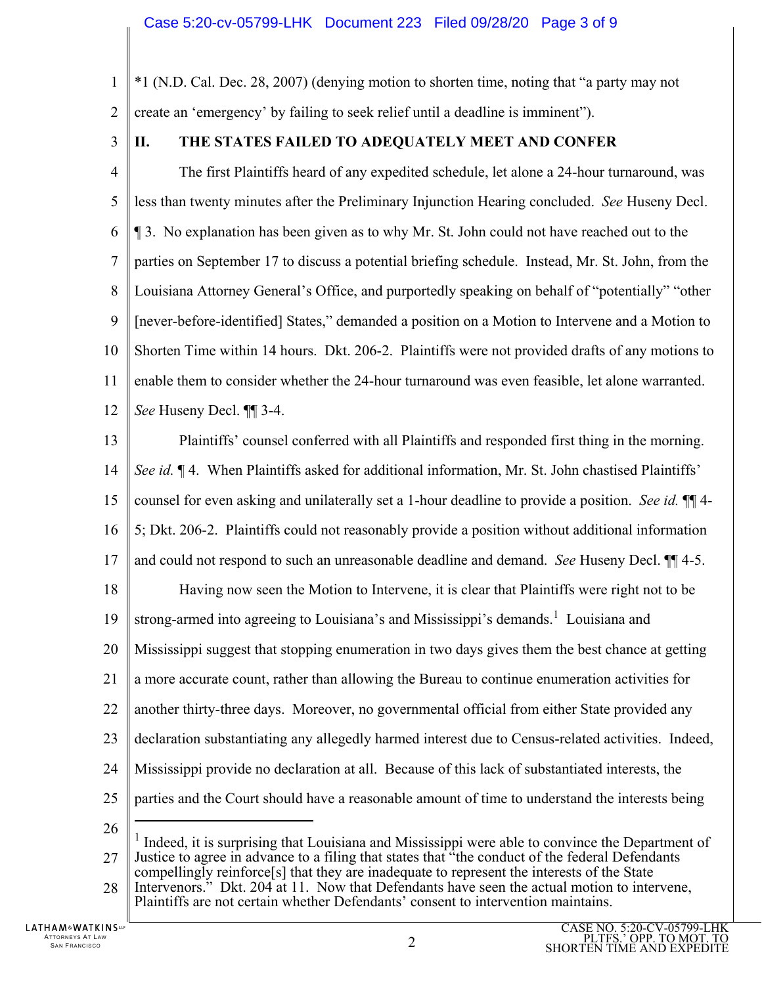1 \*1 (N.D. Cal. Dec. 28, 2007) (denying motion to shorten time, noting that "a party may not

 $\mathcal{D}_{\mathcal{L}}$ create an 'emergency' by failing to seek relief until a deadline is imminent").

3

## **II. THE STATES FAILED TO ADEQUATELY MEET AND CONFER**

4 5 6 7 8 9 10 11 12 The first Plaintiffs heard of any expedited schedule, let alone a 24-hour turnaround, was less than twenty minutes after the Preliminary Injunction Hearing concluded. *See* Huseny Decl. ¶ 3. No explanation has been given as to why Mr. St. John could not have reached out to the parties on September 17 to discuss a potential briefing schedule. Instead, Mr. St. John, from the Louisiana Attorney General's Office, and purportedly speaking on behalf of "potentially" "other [never-before-identified] States," demanded a position on a Motion to Intervene and a Motion to Shorten Time within 14 hours. Dkt. 206-2. Plaintiffs were not provided drafts of any motions to enable them to consider whether the 24-hour turnaround was even feasible, let alone warranted. *See* Huseny Decl. ¶¶ 3-4.

13 14 15 16 17 18 19 20 21 22 23 24 25 26 Plaintiffs' counsel conferred with all Plaintiffs and responded first thing in the morning. *See id.* ¶ 4. When Plaintiffs asked for additional information, Mr. St. John chastised Plaintiffs' counsel for even asking and unilaterally set a 1-hour deadline to provide a position. *See id.* ¶¶ 4- 5; Dkt. 206-2. Plaintiffs could not reasonably provide a position without additional information and could not respond to such an unreasonable deadline and demand. *See* Huseny Decl. ¶¶ 4-5. Having now seen the Motion to Intervene, it is clear that Plaintiffs were right not to be strong-armed into agreeing to Louisiana's and Mississippi's demands.<sup>1</sup> Louisiana and Mississippi suggest that stopping enumeration in two days gives them the best chance at getting a more accurate count, rather than allowing the Bureau to continue enumeration activities for another thirty-three days. Moreover, no governmental official from either State provided any declaration substantiating any allegedly harmed interest due to Census-related activities. Indeed, Mississippi provide no declaration at all. Because of this lack of substantiated interests, the parties and the Court should have a reasonable amount of time to understand the interests being  $\overline{a}$ 

27 28 <sup>1</sup> Indeed, it is surprising that Louisiana and Mississippi were able to convince the Department of Justice to agree in advance to a filing that states that "the conduct of the federal Defendants compellingly reinforce[s] that they are inadequate to represent the interests of the State Intervenors." Dkt. 204 at 11. Now that Defendants have seen the actual motion to intervene, Plaintiffs are not certain whether Defendants' consent to intervention maintains.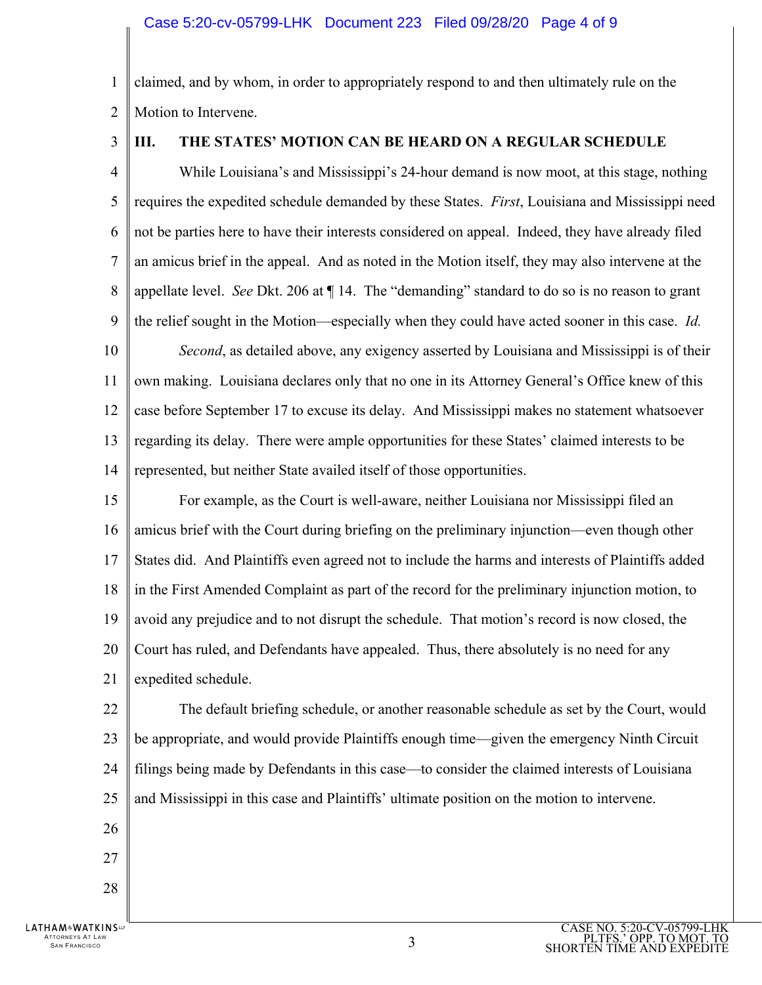#### Case 5:20-cv-05799-LHK Document 223 Filed 09/28/20 Page 4 of 9

1  $\mathcal{D}_{\mathcal{L}}$ claimed, and by whom, in order to appropriately respond to and then ultimately rule on the Motion to Intervene.

3

#### **III. THE STATES' MOTION CAN BE HEARD ON A REGULAR SCHEDULE**

4 5 6 7 8 9 10 11 12 13 14 While Louisiana's and Mississippi's 24-hour demand is now moot, at this stage, nothing requires the expedited schedule demanded by these States. *First*, Louisiana and Mississippi need not be parties here to have their interests considered on appeal. Indeed, they have already filed an amicus brief in the appeal. And as noted in the Motion itself, they may also intervene at the appellate level. *See* Dkt. 206 at ¶ 14. The "demanding" standard to do so is no reason to grant the relief sought in the Motion—especially when they could have acted sooner in this case. *Id. Second*, as detailed above, any exigency asserted by Louisiana and Mississippi is of their own making. Louisiana declares only that no one in its Attorney General's Office knew of this case before September 17 to excuse its delay. And Mississippi makes no statement whatsoever regarding its delay. There were ample opportunities for these States' claimed interests to be represented, but neither State availed itself of those opportunities.

15 16 17 18 19 20 21 For example, as the Court is well-aware, neither Louisiana nor Mississippi filed an amicus brief with the Court during briefing on the preliminary injunction—even though other States did. And Plaintiffs even agreed not to include the harms and interests of Plaintiffs added in the First Amended Complaint as part of the record for the preliminary injunction motion, to avoid any prejudice and to not disrupt the schedule. That motion's record is now closed, the Court has ruled, and Defendants have appealed. Thus, there absolutely is no need for any expedited schedule.

22 23 24 25 The default briefing schedule, or another reasonable schedule as set by the Court, would be appropriate, and would provide Plaintiffs enough time—given the emergency Ninth Circuit filings being made by Defendants in this case—to consider the claimed interests of Louisiana and Mississippi in this case and Plaintiffs' ultimate position on the motion to intervene.

- 26 27
- 28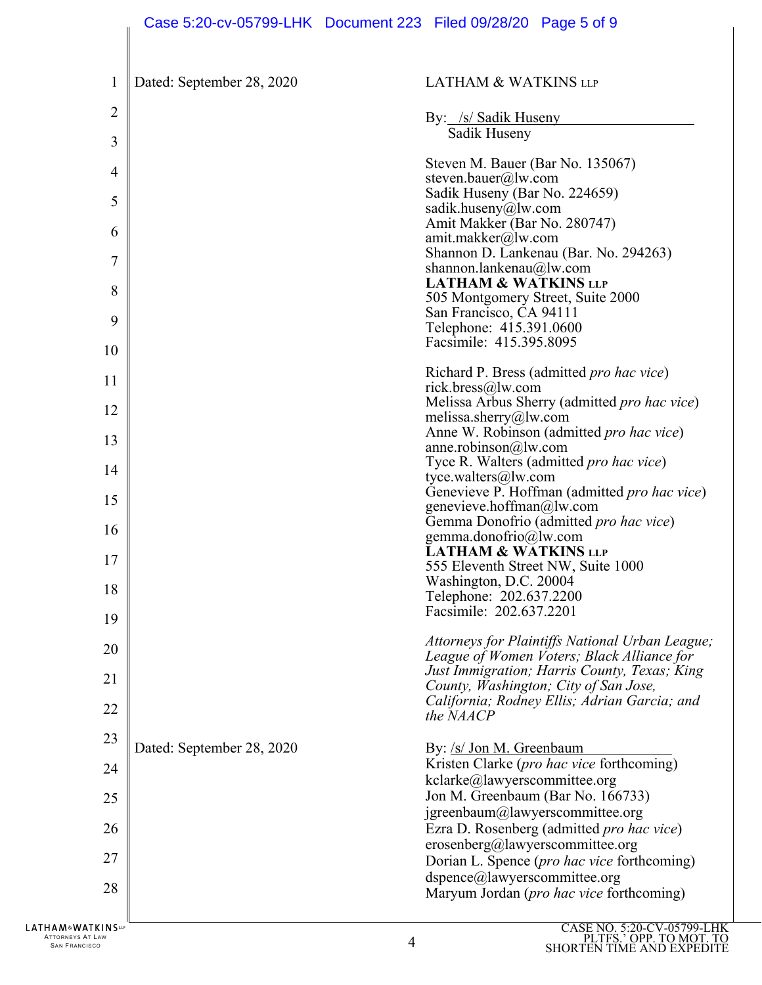| $\mathbf{1}$   | Dated: September 28, 2020 | <b>LATHAM &amp; WATKINS LLP</b>                                                            |
|----------------|---------------------------|--------------------------------------------------------------------------------------------|
| $\overline{2}$ |                           | By: /s/ Sadik Huseny                                                                       |
| 3              |                           | Sadik Huseny                                                                               |
| 4              |                           | Steven M. Bauer (Bar No. 135067)<br>steven.bauer@lw.com                                    |
| 5              |                           | Sadik Huseny (Bar No. 224659)                                                              |
| 6              |                           | sadik.huseny@lw.com<br>Amit Makker (Bar No. 280747)                                        |
|                |                           | amit.makker@lw.com<br>Shannon D. Lankenau (Bar. No. 294263)                                |
| 7              |                           | shannon.lankenau@lw.com<br><b>LATHAM &amp; WATKINS LLP</b>                                 |
| 8              |                           | 505 Montgomery Street, Suite 2000                                                          |
| 9              |                           | San Francisco, CA 94111<br>Telephone: 415.391.0600                                         |
| 10             |                           | Facsimile: 415.395.8095                                                                    |
| 11             |                           | Richard P. Bress (admitted pro hac vice)<br>rick.bress@lw.com                              |
| 12             |                           | Melissa Arbus Sherry (admitted pro hac vice)                                               |
| 13             |                           | melissa.sherry@lw.com<br>Anne W. Robinson (admitted pro hac vice)                          |
|                |                           | anne.robinson@lw.com<br>Tyce R. Walters (admitted pro hac vice)                            |
| 14             |                           | tyce.walters@lw.com<br>Genevieve P. Hoffman (admitted pro hac vice)                        |
| 15             |                           | genevieve.hoffman@lw.com                                                                   |
| 16             |                           | Gemma Donofrio (admitted pro hac vice)<br>gemma.donofrio@lw.com                            |
| 17             |                           | <b>LATHAM &amp; WATKINS LLP</b><br>555 Eleventh Street NW, Suite 1000                      |
| 18             |                           | Washington, D.C. 20004                                                                     |
| 19             |                           | Telephone: 202.637.2200<br>Facsimile: 202.637.2201                                         |
| 20             |                           | Attorneys for Plaintiffs National Urban League;                                            |
|                |                           | League of Women Voters; Black Alliance for<br>Just Immigration; Harris County, Texas; King |
| 21             |                           | County, Washington; City of San Jose,<br>California; Rodney Ellis; Adrian Garcia; and      |
| 22             |                           | the NAACP                                                                                  |
| 23             | Dated: September 28, 2020 | By: /s/ Jon M. Greenbaum                                                                   |
| 24             |                           | Kristen Clarke (pro hac vice forthcoming)<br>kclarke@lawyerscommittee.org                  |
| 25             |                           | Jon M. Greenbaum (Bar No. 166733)                                                          |
| 26             |                           | jgreenbaum@lawyerscommittee.org<br>Ezra D. Rosenberg (admitted <i>pro hac vice</i> )       |
| 27             |                           | erosenberg@lawyerscommittee.org                                                            |
|                |                           | Dorian L. Spence (pro hac vice forthcoming)<br>dspence@lawyerscommittee.org                |
| 28             |                           | Maryum Jordan (pro hac vice forthcoming)                                                   |
| KINCL          |                           | CASE NO 5.20 CV 05700 LH                                                                   |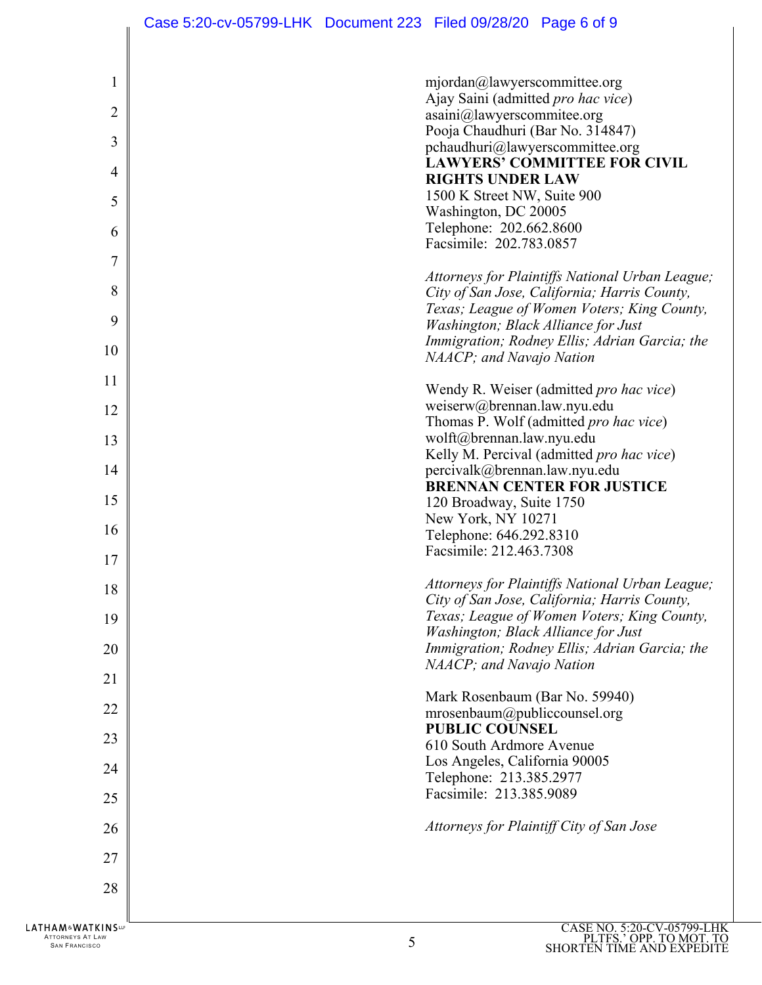| 1              | mjordan@lawyerscommittee.org<br>Ajay Saini (admitted pro hac vice)                          |
|----------------|---------------------------------------------------------------------------------------------|
| $\overline{2}$ | asaini@lawyerscommitee.org<br>Pooja Chaudhuri (Bar No. 314847)                              |
| 3              | pchaudhuri@lawyerscommittee.org<br><b>LAWYERS' COMMITTEE FOR CIVIL</b>                      |
| 4              | <b>RIGHTS UNDER LAW</b><br>1500 K Street NW, Suite 900                                      |
| 5              | Washington, DC 20005                                                                        |
| 6              | Telephone: 202.662.8600<br>Facsimile: 202.783.0857                                          |
| 7              | Attorneys for Plaintiffs National Urban League;                                             |
| 8              | City of San Jose, California; Harris County,                                                |
| 9              | Texas; League of Women Voters; King County,<br>Washington; Black Alliance for Just          |
| 10             | Immigration; Rodney Ellis; Adrian Garcia; the<br>NAACP; and Navajo Nation                   |
| 11             | Wendy R. Weiser (admitted pro hac vice)                                                     |
| 12             | weiserw@brennan.law.nyu.edu                                                                 |
| 13             | Thomas P. Wolf (admitted pro hac vice)<br>wolft@brennan.law.nyu.edu                         |
| 14             | Kelly M. Percival (admitted pro hac vice)<br>percivalk@brennan.law.nyu.edu                  |
|                | <b>BRENNAN CENTER FOR JUSTICE</b>                                                           |
| 15             | 120 Broadway, Suite 1750<br>New York, NY 10271                                              |
| 16             | Telephone: 646.292.8310                                                                     |
| 17             | Facsimile: 212.463.7308                                                                     |
| 18             | Attorneys for Plaintiffs National Urban League;                                             |
| 19             | City of San Jose, California; Harris County,<br>Texas; League of Women Voters; King County, |
| 20             | Washington; Black Alliance for Just<br>Immigration; Rodney Ellis; Adrian Garcia; the        |
|                | NAACP; and Navajo Nation                                                                    |
| 21             | Mark Rosenbaum (Bar No. 59940)                                                              |
| 22             | mrosenbaum@publiccounsel.org                                                                |
| 23             | <b>PUBLIC COUNSEL</b><br>610 South Ardmore Avenue                                           |
| 24             | Los Angeles, California 90005                                                               |
| 25             | Telephone: 213.385.2977<br>Facsimile: 213.385.9089                                          |
| 26             | Attorneys for Plaintiff City of San Jose                                                    |
| 27             |                                                                                             |
| 28             |                                                                                             |
|                |                                                                                             |
| <b>KINS</b>    | CASE NO. 5:20-CV-05799-LHI                                                                  |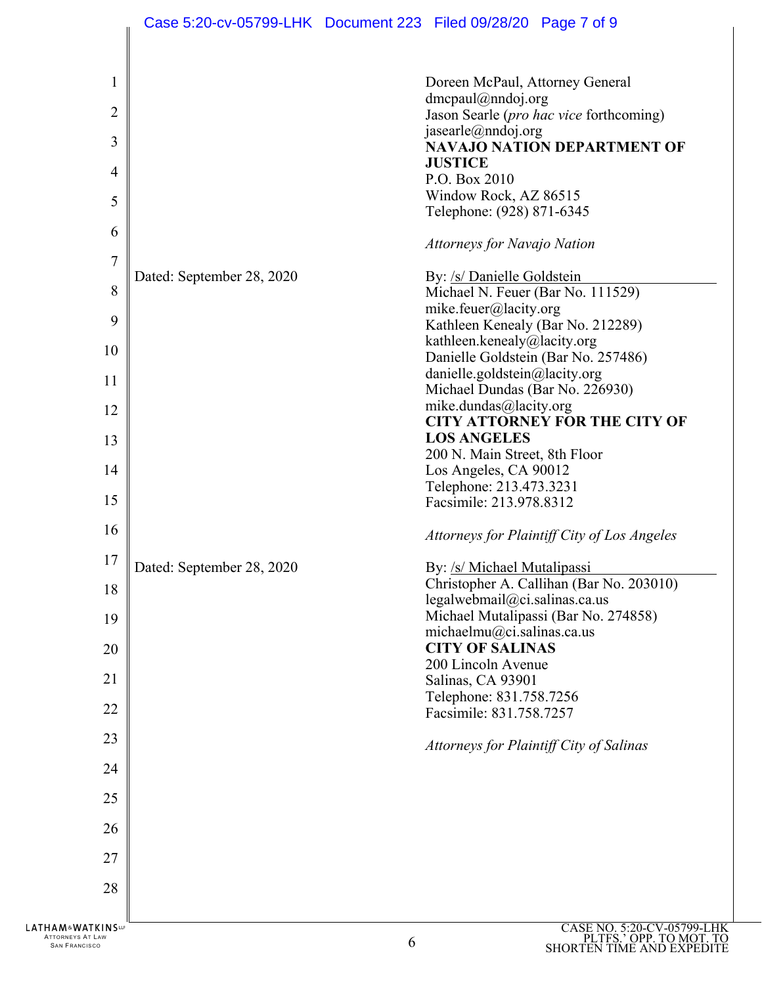| $\mathbf{1}$                                             |                           | Doreen McPaul, Attorney General                                                         |
|----------------------------------------------------------|---------------------------|-----------------------------------------------------------------------------------------|
| $\overline{2}$                                           |                           | $d$ mcpaul@nndoj.org<br>Jason Searle (pro hac vice forthcoming)                         |
|                                                          |                           | jasearle@nndoj.org                                                                      |
| 3                                                        |                           | <b>NAVAJO NATION DEPARTMENT OF</b><br><b>JUSTICE</b>                                    |
| 4                                                        |                           | P.O. Box 2010                                                                           |
| 5                                                        |                           | Window Rock, AZ 86515<br>Telephone: (928) 871-6345                                      |
| 6                                                        |                           |                                                                                         |
| 7                                                        |                           | Attorneys for Navajo Nation                                                             |
|                                                          | Dated: September 28, 2020 | By: /s/ Danielle Goldstein                                                              |
| 8                                                        |                           | Michael N. Feuer (Bar No. 111529)<br>mike.feuer@lacity.org                              |
| 9                                                        |                           | Kathleen Kenealy (Bar No. 212289)                                                       |
| 10                                                       |                           | kathleen.kenealy@lacity.org                                                             |
|                                                          |                           | Danielle Goldstein (Bar No. 257486)                                                     |
| 11                                                       |                           | danielle.goldstein@lacity.org<br>Michael Dundas (Bar No. 226930)                        |
| 12                                                       |                           | mike.dundas@lacity.org                                                                  |
|                                                          |                           | <b>CITY ATTORNEY FOR THE CITY OF</b>                                                    |
| 13                                                       |                           | <b>LOS ANGELES</b><br>200 N. Main Street, 8th Floor                                     |
| 14                                                       |                           | Los Angeles, CA 90012                                                                   |
|                                                          |                           | Telephone: 213.473.3231                                                                 |
| 15                                                       |                           | Facsimile: 213.978.8312                                                                 |
| 16                                                       |                           | Attorneys for Plaintiff City of Los Angeles                                             |
| 17                                                       | Dated: September 28, 2020 | By: /s/ Michael Mutalipassi                                                             |
| 18                                                       |                           | Christopher A. Callihan (Bar No. 203010)                                                |
|                                                          |                           | legalwebmail@ci.salinas.ca.us<br>Michael Mutalipassi (Bar No. 274858)                   |
| 19                                                       |                           | michaelmu@ci.salinas.ca.us                                                              |
| 20                                                       |                           | <b>CITY OF SALINAS</b>                                                                  |
| 21                                                       |                           | 200 Lincoln Avenue                                                                      |
|                                                          |                           | Salinas, CA 93901<br>Telephone: 831.758.7256                                            |
| 22                                                       |                           | Facsimile: 831.758.7257                                                                 |
| 23                                                       |                           | Attorneys for Plaintiff City of Salinas                                                 |
| 24                                                       |                           |                                                                                         |
| 25                                                       |                           |                                                                                         |
| 26                                                       |                           |                                                                                         |
| 27                                                       |                           |                                                                                         |
| 28                                                       |                           |                                                                                         |
|                                                          |                           |                                                                                         |
| HAM&WATKINS™<br>ATTORNEYS AT LAW<br><b>SAN FRANCISCO</b> |                           | CASE NO. 5:20-CV-05799-LHK<br>PLTFS.' OPP. TO MOT. TO<br>SHORTEN TIME AND EXPEDITE<br>6 |

Ш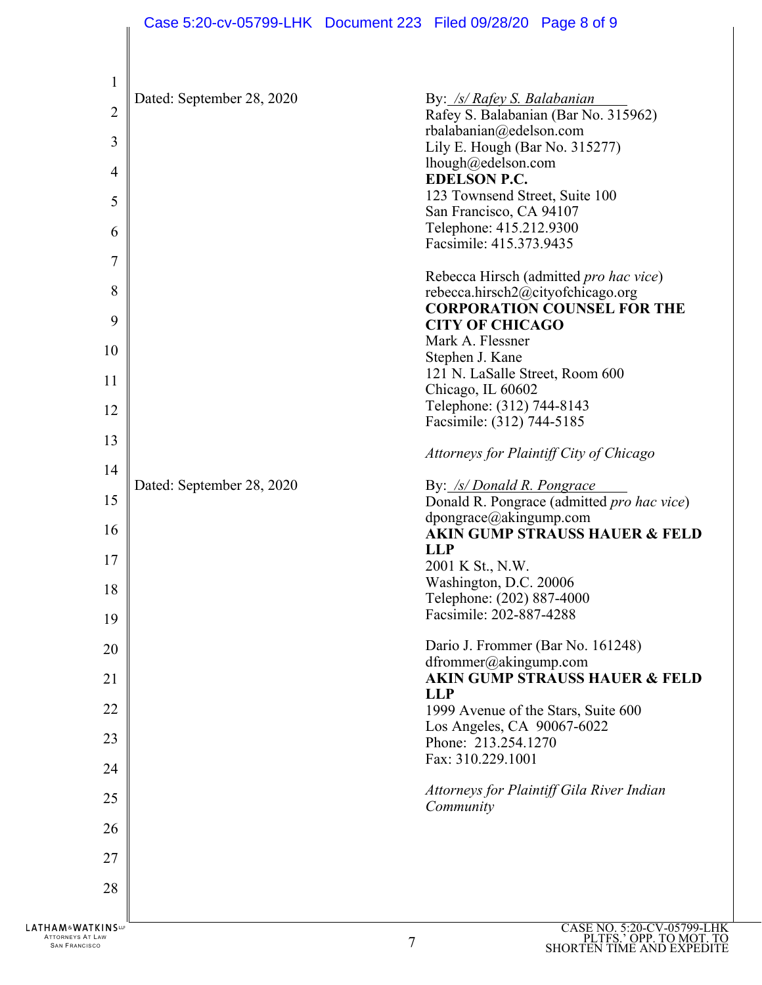| 1                                             |                           |                                                                 |
|-----------------------------------------------|---------------------------|-----------------------------------------------------------------|
| $\overline{2}$                                | Dated: September 28, 2020 | By: /s/ Rafey S. Balabanian                                     |
|                                               |                           | Rafey S. Balabanian (Bar No. 315962)<br>rbalabanian@edelson.com |
| 3                                             |                           | Lily E. Hough (Bar No. 315277)                                  |
|                                               |                           | lhough@edelson.com                                              |
| $\overline{4}$                                |                           | <b>EDELSON P.C.</b>                                             |
|                                               |                           | 123 Townsend Street, Suite 100                                  |
| 5                                             |                           | San Francisco, CA 94107                                         |
|                                               |                           | Telephone: 415.212.9300                                         |
| 6                                             |                           | Facsimile: 415.373.9435                                         |
| 7                                             |                           |                                                                 |
|                                               |                           | Rebecca Hirsch (admitted pro hac vice)                          |
| 8                                             |                           | rebecca.hirsch2@cityofchicago.org                               |
|                                               |                           | <b>CORPORATION COUNSEL FOR THE</b>                              |
| 9                                             |                           | <b>CITY OF CHICAGO</b>                                          |
|                                               |                           | Mark A. Flessner                                                |
| 10                                            |                           | Stephen J. Kane                                                 |
| 11                                            |                           | 121 N. LaSalle Street, Room 600                                 |
|                                               |                           | Chicago, IL 60602                                               |
| 12                                            |                           | Telephone: (312) 744-8143                                       |
|                                               |                           | Facsimile: (312) 744-5185                                       |
| 13                                            |                           |                                                                 |
|                                               |                           | Attorneys for Plaintiff City of Chicago                         |
| 14                                            |                           |                                                                 |
| 15                                            | Dated: September 28, 2020 | By: /s/ Donald R. Pongrace                                      |
|                                               |                           | Donald R. Pongrace (admitted pro hac vice)                      |
| 16                                            |                           | dpongrace@akingump.com                                          |
|                                               |                           | <b>AKIN GUMP STRAUSS HAUER &amp; FELD</b>                       |
| 17                                            |                           | <b>LLP</b><br>2001 K St., N.W.                                  |
|                                               |                           | Washington, D.C. 20006                                          |
| 18                                            |                           | Telephone: (202) 887-4000                                       |
|                                               |                           | Facsimile: 202-887-4288                                         |
| 19                                            |                           |                                                                 |
| 20                                            |                           | Dario J. Frommer (Bar No. 161248)                               |
|                                               |                           | dfrommer@akingump.com                                           |
| 21                                            |                           | <b>AKIN GUMP STRAUSS HAUER &amp; FELD</b>                       |
|                                               |                           | <b>LLP</b>                                                      |
| 22                                            |                           | 1999 Avenue of the Stars, Suite 600                             |
|                                               |                           | Los Angeles, CA 90067-6022                                      |
| 23                                            |                           | Phone: 213.254.1270                                             |
| 24                                            |                           | Fax: 310.229.1001                                               |
|                                               |                           |                                                                 |
| 25                                            |                           | Attorneys for Plaintiff Gila River Indian                       |
|                                               |                           | Community                                                       |
| 26                                            |                           |                                                                 |
|                                               |                           |                                                                 |
| 27                                            |                           |                                                                 |
| 28                                            |                           |                                                                 |
|                                               |                           |                                                                 |
|                                               |                           |                                                                 |
| <b>LATHAM&amp;WATKINS</b><br>ATTORNEYS AT LAW |                           | CASE NO. 5:20-CV-05799-LHK<br>PLTFS. OPP. TO MOT. TO<br>7       |
| <b>SAN FRANCISCO</b>                          |                           |                                                                 |